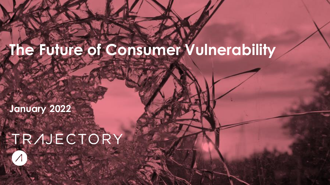# **The Future of Consumer Vulnerability**

**January 2022**

# TRAJECTORY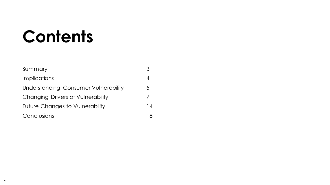# **Contents**

| Summary                              |    |
|--------------------------------------|----|
| Implications                         |    |
| Understanding Consumer Vulnerability | 5  |
| Changing Drivers of Vulnerability    |    |
| Future Changes to Vulnerability      | 14 |
| Conclusions                          | 18 |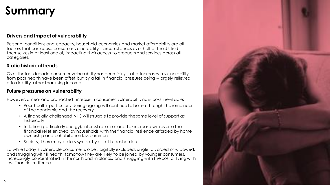## **Summary**

#### **Drivers and impact of vulnerability**

Personal conditions and capacity, household economics and market affordability are all factors that can cause consumer vulnerability – circumstances over half of the UK find themselves in at least one of, impacting their access to products and services across all categories.

#### **Static historical trends**

Over the last decade consumer vulnerability has been fairly static. Increases in vulnerability from poor health have been offset but by a fall in financial pressures being – largely relieved affordability rather than rising income.

#### **Future pressures on vulnerability**

However, a near and protracted increase in consumer vulnerability now looks inevitable:

- Poor health, particularly during ageing will continue to be rise through the remainder of the pandemic and the recovery
- A financially challenged NHS will struggle to provide the same level of support as historically
- Inflation (particularly energy), interest rate rises and tax increase will reverse the financial relief enjoyed by households with the financial resilience afforded by home ownership and cohabitation less common
- Socially, there may be less sympathy as attitudes harden

So while today's vulnerable consumer is older, digitally excluded, single, divorced or widowed, and struggling with ill health, tomorrow they are likely to be joined by younger consumers, increasingly concentrated in the north and midlands, and struggling with the cost of living with less financial resilience

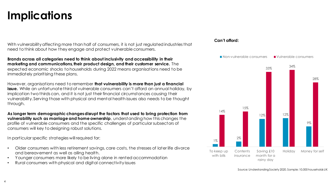## **Implications**

With vulnerability affecting more than half of consumers, it is not just regulated industries that need to think about how they engage and protect vulnerable consumers.

**Brands across all categories need to think about inclusivity and accessibility in their marketing and communications, their product design, and their customer service.** The expected economic shocks to households during 2022 means organisations need to be immediately prioritising these plans.

However, organisations need to remember **that vulnerability is more than just a financial issue.** While an unfortunate third of vulnerable consumers can't afford an annual holiday, by implication two thirds can, and it is not just their financial circumstances causing their vulnerability. Serving those with physical and mental health issues also needs to be thought through.

**As longer term demographic changes disrupt the factors that used to bring protection from vulnerability such as marriage and home ownership**, understanding how this changes the profile of vulnerable consumers and the specific challenges of particular subsectors of consumers will key to designing robust solutions.

In particular specific strategies will required for:

- Older consumers with less retirement savings, care costs, the stresses of later life divorce and bereavement as well as ailing health.
- Younger consumers more likely to be living alone in rented accommodation
- Rural consumers with physical and digital connectivity issues

#### **Can't afford:**

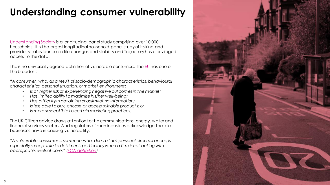### **Understanding consumer vulnerability**

[Understanding Society](https://www.understandingsociety.ac.uk/) is a longitudinal panel study comprising over 10,000 households. It is the largest longitudinal household panel study of its kind and provides vital evidence on life changes and stability and Trajectory have privileged access to the data.

The is no universally agreed definition of vulnerable consumers. The [EU](https://ec.europa.eu/info/publications/understanding-consumer-vulnerability-eus-key-markets_en) has one of the broadest:

*"A consumer, who, as a result of socio-demographic charact eristics, behavioural charact eristics, personal situation, or market environment:*

- *Is at higher risk of experiencing negat ive out comes in t he market;*
- *Has limited ability t o maximise his/her well-being;*
- *Has difficulty in obt aining or assimilating information;*
- *Is less able t o buy, choose or access suit able product s; or*
- *Is more suscept ible t o cert ain marketing practices."*

The UK Citizen advice draws attention to the communications, energy, water and financial services sectors. And regulators of such industries acknowledge the role businesses have in causing vulnerability:

*"A vulnerable consumer is someone who, due t o t heir personal circumst ances, is especially suscept ible t o det riment, particularly when a firm is not act ing with appropriate levels of care." [\(FCA definition\)](https://www.fca.org.uk/publication/occasional-papers/occasional-paper-8-exec-summary.pdf)*

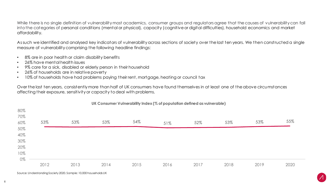While there is no single definition of vulnerability most academics, consumer groups and regulators agree that the causes of vulnerability can fall into the categories of personal conditions (mental or physical), capacity (cognitive or digital difficulties), household economics and market affordability.

As such we identified and analysed key indicators of vulnerability across sections of society over the last ten years. We then constructed a single measure of vulnerability comprising the following headline findings:

- 8% are in poor health or claim disability benefits
- 26% have mental health issues
- 9% care for a sick, disabled or elderly person in their household
- 26% of households are in relative poverty
- 10% of households have had problems paying their rent, mortgage, heating or council tax

Over the last ten years, consistently more than half of UK consumers have found themselves in at least one of the above circumstances affecting their exposure, sensitivity or capacity to deal with problems.



#### **UK Consumer Vulnerability Index (% of population defined as vulnerable)**

Source: Understanding Society 2020. Sample: 10,000 households UK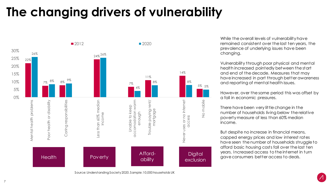## **The changing drivers of vulnerability**



While the overall levels of vulnerability have remained consistent over the last ten years, the prevalence of underlying issues have been changing.

Vulnerability through poor physical and mental health increased pointedly between the start and end of the decade. Measures that may have increased in part through better awareness and reporting of mental health issues.

However, over the same period this was offset by a fall in economic pressures.

There have been very little change in the number of households living below the relative poverty measure of less than 60% median income.

But despite no increase in financial means, capped energy prices and low interest rates have seen the number of households struggle to afford basic housing costs fall over the last ten years. Increased access to the internet in turn gave consumers better access to deals.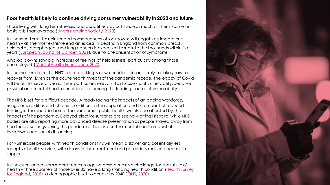#### **Poor health is likely to continue driving consumer vulnerability in 2022 and future**

Those living with long term illnesses and disabilities pay out twice as much of their income on basic bills than average ([Understanding Society, 2020\)](https://www.understandingsociety.ac.uk/).

In the short term the unintended consequences of lockdowns will negatively impact our health – at the most extreme end an excess in deaths in England from common breast, colorectal, oesophageal and lung cancers is expected to run into the thousands within five years ([European Journal of Cancer, 2021](https://www.sciencedirect.com/science/article/pii/S0959804921002501)), due to late presentation of symptoms.

And lockdowns saw big increases of feelings of helplessness, particularly among those unemployed ([Mental Health Foundation, 2020\)](https://www.mentalhealth.org.uk/coronavirus/divergence-mental-health-experiences-during-pandemic).

In the medium term the NHS's care backlog is now considerable and likely to take years to recover from. Even as the acute health threats of the pandemic recede, the legacy of Covid will be felt for several years. This is particularly relevant to discussions of vulnerability, because physical and mental health conditions are among the leading causes of vulnerability.

The NHS is set for a difficult decade. Already facing the impacts of an ageing workforce, rising comorbidities and chronic conditions in the population and the impact of reduced funding in the decade before the pandemic, public health will also be affected by the impacts of the pandemic. Delayed elective surgeries are seeing waiting lists spiral while NHS bodies are also reporting more advanced disease presentation as people stayed away from healthcare settings during the pandemic. There is also the mental health impact of lockdowns and social distancing.

For vulnerable people with health conditions this will mean a slower and potentially less receptive health service, with delays in their treatment and potentially reduced access to support.

In the even longer term macro trends in ageing pose a massive challenge for the future of health – three quarters of those over 85 have a long standing health condition (Health Survey for England, 2018), a demographic is set to double by 2040 ([ONS, 2020](https://www.ons.gov.uk/peoplepopulationandcommunity/populationandmigration/populationprojections/datasets/tablea21principalprojectionukpopulationinagegroups)).

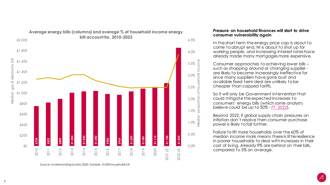

### **Average energy bills (columns) and average % of household income energy**

Source: Understanding Society 2020. Sample: 10,000 households UK

#### **Pressure on household finances will start to drive consumer vulnerability again**

In the short term the energy price cap is about to come to abrupt end, NI is about to shot up for working people, and increasing interest rates have already made many mortgages more expensive.

Consumer approaches to achieving lower bills – such as shopping around or changing supplier are likely to become increasingly ineffective for since many suppliers have gone bust and available fixed term deal are unlikely to be cheaper than capped tariffs.

So it will only be Government intervention that could mitigate the expected increases to consumers' energy bills (which some analysts believe could be up to 50% - [FT, 2022\)](https://www.ft.com/content/17b2f2a5-3f84-4bd5-90da-3a29af25bdd7).

Beyond 2022, if global supply chain pressures on inflation don't resolve then consumer purchase power is likely to fall further.

Failure to lift more households over the 60% of median income mark means there is little resilience in poorer households to deal with increases in their cost of living. Already 9% are behind on their bills, compared to 5% on average.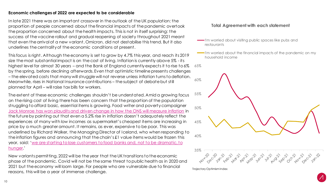#### **Economic challenges of 2022 are expected to be considerable**

In late 2021 there was an important crossover in the outlook of the UK population: the proportion of people concerned about the financial impacts of the pandemic overtook the proportion concerned about the health impacts. This is not in itself surprising: the success of the vaccine rollout and gradual reopening of society throughout 2021 meant that even the arrival of a new variant, Omicron, did not destabilise this trend. But it also underlines the centrality of the economic conditions at present.

This focus is right. Although the economy is set to grow by 4.7% this year, and reach its 2019 size the most substantial impact is on the cost of living. Inflation is currently above 5% - its highest level for almost 30 years – and the Bank of England currently expects it to rise to 6% by the spring, before declining afterwards. Even that optimistic timeline presents challenges – the elevated costs that many will struggle will not reverse unless inflation turns to deflation. Meanwhile, rises in National Insurance contributions – the subject of debate but still planned for April – will raise tax bills for workers. 65%

The extent of these economic challenges shouldn't be understated. Amid a growing focus on the rising cost of living there has been concern that the proportion of the population struggling to afford basic, essential items is growing. Food writer and poverty campaigner [Jack Monroe has won plaudits and driven change in how the ONS will measure inflation](https://www.theguardian.com/business/2022/jan/26/cost-of-living-crisis-ons-inflation-jack-monroe) in the future by pointing out that even a 5.2% rise in inflation doesn't adequately reflect the experiences of many with low incomes as supermarket's cheapest items are increasing in price by a much greater amount. It remains, as ever, expensive to be poor. This was underlined by Richard Walker, the Managing Director of Iceland, who when responding to the inflation figures and announcing that the chain's £1 value items would be frozen this year, said: '[we are starting to lose customers to food banks and, not to be dramatic, to](https://www.theguardian.com/business/2022/jan/26/cost-of-living-crisis-ons-inflation-jack-monroe) hunger.'

New variants permitting, 2022 will be the year that the UK transitions to the economic phase of the pandemic. Covid will not be the same threat to public health as in 2020 and 2021 but the economy will loom large. For people who are vulnerable due to financial reasons, this will be a year of immense challenge.

#### **Total Agreement with each statement**

- I'm worried about visiting public spaces like pubs and restaurants
- -I'm worried about the financial impacts of the pandemic on my household income

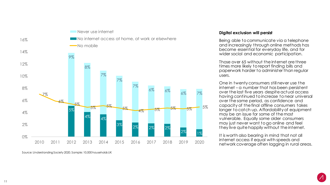

Source: Understanding Society 2020. Sample: 10,000 households UK

#### **Digital exclusion will persist**

Being able to communicate via a telephone and increasingly through online methods has become essential for everyday life, and for wider social and economic participation.

Those over 65 without the internet are three times more likely to report finding bills and paperwork harder to administer than regular users.

One in twenty consumers still never use the internet – a number that has been persistent over the last five years despite actual access having continued to increase to near universal over the same period, as confidence and capacity of the final offline consumers takes longer to catch up. Affordability of equipment may be an issue for some of the most vulnerable. Equally some older consumers may just never want to go online and feel they live quite happily without the internet.

It is worth also bearing in mind that not all internet access if equal with speeds and network coverage often lagging in rural areas.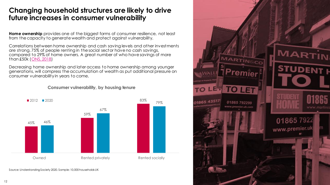#### **Changing household structures are likely to drive future increases in consumer vulnerability**

**Home ownership** provides one of the biggest forms of consumer resilience, not least from the capacity to generate wealth and protect against vulnerability.

Correlations between home ownership and cash saving levels and other investments are strong. 75% of people renting in the social sector have no cash savings, compared to 29% of home owners. A great number of who have savings of more than £50k ([ONS, 2018](https://www.ons.gov.uk/releases/wealthingreatbritainwave62016to2018))

Decreasing home ownership and later access to home ownership among younger generations, will compress the accumulation of wealth as put additional pressure on consumer vulnerability in years to come.

#### **Consumer vulnerability, by housing tenure**



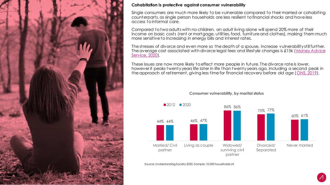

#### **Cohabitation is protective against consumer vulnerability**

Single consumers are much more likely to be vulnerable compared to their married or cohabiting counterparts, as single person households are less resilient to financial shocks and have less access to informal care.

Compared to two adults with no children, an adult living alone will spend 20% more of their income on basic costs (rent or mortgage, utilities, food, furniture and clothes), making them much more sensitive to increasing in energy bills and interest rates.

The stresses of divorce and even more so the death of a spouse, increase vulnerability still further. [The average cost associated with divorce legal fees and lifestyle changes is £15k \(Money Advice](https://www.moneyhelper.org.uk/en/blog/life-events/how-much-does-a-divorce-cost) Service, 2020).

These issues are now more likely to effect more people in future. The divorce rate is lower, however it peaks twenty years life later in life than twenty years ago, including a second peak in the approach of retirement, giving less time for financial recovery before old age ([ONS, 2019\)](https://www.ons.gov.uk/peoplepopulationandcommunity/birthsdeathsandmarriages/divorce/datasets/divorcesinenglandandwales).



#### **Consumer vulnerability, by marital status**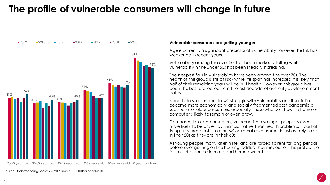### **The profile of vulnerable consumers will change in future**



20-29 years old 30-39 years old 40-49 years old 50-59 years old 60-69 years old 70 years or older

Age is currently a significant predictor of vulnerability however the link has weakened in recent years.

Vulnerability among the over 50s has been markedly falling whilst vulnerability in the under 50s has been steadily increasing.

The steepest falls in vulnerability have been among the over 70s. The health of this group is still at risk - while life span has increased it is likely that half of their remaining years will be in ill health. However, this group has been the best protected from the last decade of austerity by Government policy.

Nonetheless, older people will struggle with vulnerability and if societies become more economically and socially fragmented post pandemic a sub-sector of older consumers, especially those who don't own a home or computer is likely to remain or even grow.

Compared to older consumers, vulnerability in younger people is even more likely to be driven by financial rather than health problems. If cost of living pressures persist tomorrow's vulnerable consumer is just as likely to be in their 20s as they are in their 60s.

As young people marry later in life, and are forced to rent for long periods before ever getting on the housing ladder, they miss out on the protective factors of a double income and home ownership.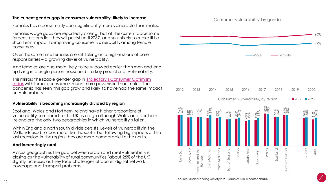#### **The current gender gap in consumer vulnerability likely to increase**

Females have consistently been significantly more vulnerable than males.

Females wage gaps are reportedly closing, but at the current pace some forecasters predict they will persist until 2067, and so unlikely to make little short term impact to improving consumer vulnerability among female consumers.

Over the same time females are still taking on a higher share of care responsibilities – a growing driver of vulnerability.

And females are also more likely to be widowed earlier than men and end up living in a single person household – a key predictor of vulnerability.

This mirrors the sizable gender gap in Trajectory's Consumer Optimism Index with female consumers much more pessimistic than males. The pandemic has seen this gap grow and likely to have had the same impact on vulnerability

#### **Vulnerability is becoming increasingly divided by region**

Scotland, Wales and Northern Ireland have higher proportions of vulnerability compared to the UK average although Wales and Northern Ireland are the only two geographies in which vulnerability is fallen.

Within England a north south divide persists. Levels of vulnerability in the Midlands used to look more like the south, but following big impacts of the last recession in the region they are more comparable to the north.

#### **And increasingly rural**

Across geographies the gap between urban and rural vulnerability is closing as the vulnerability of rural communities (about 25% of the UK) slightly increases as they face challenges of poorer digital network coverage and transport problems.



Consumer vulnerability, by gender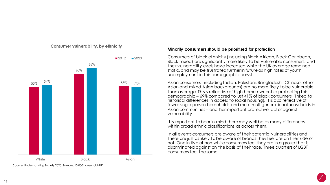

**Consumer vulnerability, by ethnicity** 

Source: Understanding Society 2020. Sample: 10,000 households UK

#### **Minority consumers should be prioritised for protection**

Consumers of black ethnicity (including Black African, Black Caribbean, Black mixed) are significantly more likely to be vulnerable consumers, and their vulnerability levels have increased while the UK average remained static, and may be frustrated further in future as high rates of youth unemployment in this demographic persist.

Asian consumers (including Indian, Pakistani, Bangladeshi, Chinese, other Asian and mixed Asian backgrounds) are no more likely to be vulnerable than average. This is reflective of high home ownership protecting this demographic – 69% compared to just 41% of black consumers (linked to historical differences in access to social housing). It is also reflective of fewer single person households and more multigenerational households in Asian communities – another important protective factor against vulnerability.

It is important to bear in mind there may well be as many differences within broad ethnic classifications as across them.

In all events consumers are aware of their potential vulnerabilities and therefore just as likely to be aware of brands they feel are on their side or not. One in five of non-white consumers feel they are in a group that is discriminated against on the basis of their race. Three quarters of LGBT consumers feel the same.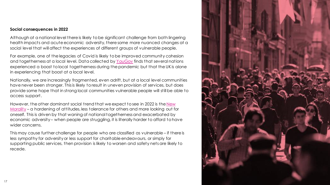#### **Social consequences in 2022**

Although at a national level there is likely to be significant challenge from both lingering health impacts and acute economic adversity, there some more nuanced changes at a social level that will affect the experiences of different groups of vulnerable people.

For example, one of the legacies of Covid is likely to be improved community cohesion and togetherness at a local level. Data collected by [YouGov](https://yougov.co.uk/topics/international/articles-reports/2020/12/04/which-societies-has-coronavirus-brought-closer-tog) finds that several nations experienced a boost to local togetherness during the pandemic but that the UK is alone in experiencing that boost at a local level.

Nationally, we are increasingly fragmented, even adrift, but at a local level communities have never been stronger. This is likely to result in uneven provision of services, but does provide some hope that in strong local communities vulnerable people will still be able to access support.

[However, the other dominant social trend that we expect to see in 2022 is the New](https://trajectorypartnership.com/reports-and-presentations/trends-presentation-world-in-2022/)  Morality – a hardening of attitudes, less tolerance for others and more looking out for oneself. This is driven by that waning of national togetherness and exacerbated by economic adversity – when people are struggling, it is literally harder to afford to have wider concerns.

This may cause further challenge for people who are classified as vulnerable – if there is less sympathy for adversity or less support for charitable endeavours, or simply for supporting public services, then provision is likely to worsen and safety nets are likely to recede.

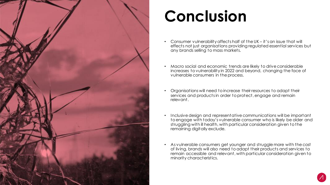

# **Conclusion**

- Consumer vulnerability affects half of the UK it's an issue that will effects not just organisations providing regulated essential services but any brands selling to mass markets.
- Macro social and economic trends are likely to drive considerable increases to vulnerability in 2022 and beyond, changing the face of vulnerable consumers in the process.
- Organisations will need to increase their resources to adapt their services and products in order to protect, engage and remain relevant.
- Inclusive design and representative communications will be important to engage with today's vulnerable consumer who is likely be older and struggling with ill health, with particular consideration given to the remaining digitally exclude.
- As vulnerable consumers get younger and struggle more with the cost of living, brands will also need to adapt their products and services to remain accessible and relevant, with particular consideration given to minority characteristics.